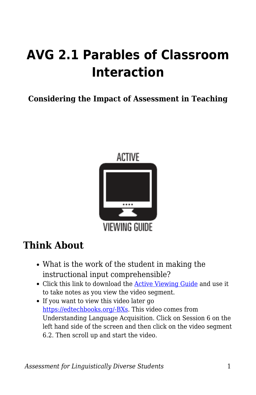# **AVG 2.1 Parables of Classroom Interaction**

**Considering the Impact of Assessment in Teaching**



## **Think About**

- What is the work of the student in making the instructional input comprehensible?
- Click this link to download the [Active Viewing Guide](https://byu.box.com/s/hgj57d2925rg9kh22armadymev8761a1) and use it to take notes as you view the video segment.
- If you want to view this video later go [https://edtechbooks.org/-BXs](https://education.byu.edu/tellvideolibrary/languageAcquisition). This video comes from Understanding Language Acquisition. Click on Session 6 on the left hand side of the screen and then click on the video segment 6.2. Then scroll up and start the video.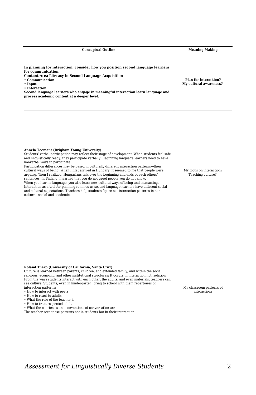**Conceptual Outline Meaning Making**

**In planning for interaction, consider how you position second language learners for communication. Content-Area Literacy in Second Language Acquisition**

**• Communication**

**• Input**

**• Interaction**

**Second language learners who engage in meaningful interaction learn language and process academic content at a deeper level.**

**Plan for interaction? My cultural awareness?** 

#### **Annela Teemant (Brigham Young University)**

Students' verbal participation may reflect their stage of development. When students feel safe and linguistically ready, they participate verbally. Beginning language learners need to have nonverbal ways to participate.

Participation differences may be based in culturally different interaction patterns—their cultural ways of being. When I first arrived in Hungary, it seemed to me that people were arguing. Then I realized, Hungarians talk over the beginning and ends of each others' sentences. In Finland, I learned that you do not greet people you do not know. When you learn a language, you also learn new cultural ways of being and interacting. Interaction as a tool for planning reminds us second language learners have different social and cultural expectations. Teachers help students figure out interaction patterns in our

My focus on interaction? Teaching culture?

### **Roland Tharp (University of California, Santa Cruz)**

Culture is learned between parents, children, and extended family, and within the social, religious, economic, and other institutional structures: It occurs in interaction not isolation. From the ways students interact with each other, the adults, and even materials, teachers can see culture. Students, even in kindergarten, bring to school with them repertoires of interaction patterns:

• How to interact with peers

culture—social and academic.

- How to react to adults
- What the role of the teacher is
- How to treat respected adults

• What the courtesies and conventions of conversation are The teacher sees these patterns not in students but in their interaction. My classroom patterns of interaction?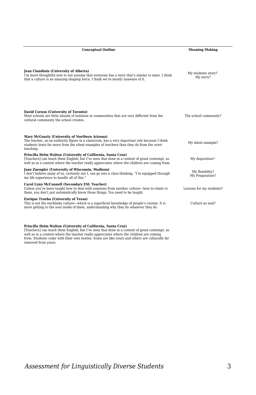| <b>Conceptual Outline</b>                                                                                                                                                                                                                                      | <b>Meaning Making</b>              |  |
|----------------------------------------------------------------------------------------------------------------------------------------------------------------------------------------------------------------------------------------------------------------|------------------------------------|--|
| Jean Clandinin (University of Alberta)<br>I'm more thoughtful now to not assume that everyone has a story that's similar to mine. I think<br>that a culture is an amazing shaping force. I think we're mostly unaware of it.                                   | My students story?<br>My story?    |  |
| David Corson (University of Toronto)<br>Most schools are little islands of isolation in communities that are very different from the<br>cultural community the school creates.                                                                                 | The school community?              |  |
| Mary McGoarty (University of Northern Arizona)<br>The teacher, as an authority figure in a classroom, has a very important role because I think<br>students learn far more from the silent examples of teachers than they do from the overt<br>teaching.       | My silent example?                 |  |
| Priscilla Helm Walton (University of California, Santa Cruz)<br>[Teachers] can teach them English, but I've seen that done in a context of great contempt, as<br>well as in a context where the teacher really appreciates where the children are coming from. | My disposition?                    |  |
| Jane Zuengler (University of Wisconsin, Madison)<br>I don't believe many of us, certainly not I, can go into a class thinking, "I'm equipped through<br>my life experience to handle all of this."                                                             | My flexibility?<br>My Preparation? |  |
| Carol Lynn McConnell (Secondary ESL Teacher)<br>Unless you've been taught how to deal with someone from another culture—how to relate to<br>them, you don't just automatically know those things. You need to be taught.                                       | Lessons for my students?           |  |
| <b>Enrique Trueba (University of Texas)</b><br>This is not the enchilada culture—which is a superficial knowledge of people's cuisine. It is<br>more getting to the soul inside of them, understanding why they do whatever they do.                           | Culture as soul?                   |  |

|  |  | Priscilla Helm Walton (University of California, Santa Cruz) |  |
|--|--|--------------------------------------------------------------|--|
|  |  |                                                              |  |

**Priscilla Helm Walton (University of California, Santa Cruz)** [Teachers] can teach them English, but I've seen that done in a context of great contempt, as well as in a context where the teacher really appreciates where the children are coming from. Students come with their own stories. Some are like yours and others are culturally far removed from yours.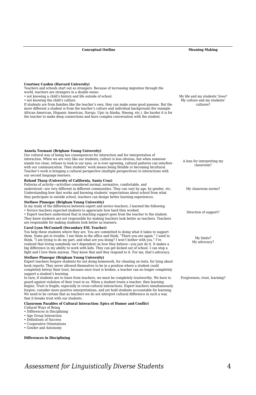#### **Conceptual Outline Meaning Making**

**Courtney Cazden (Harvard University)**

Teachers and schools start out as strangers. Because of increasing migration through the world, teachers are strangers in a double sense:

- not knowing a child's history and life outside of school.
- not knowing the child's culture.

If students are from families like the teacher's own, they can make some good guesses. But the more different a student is from the teacher's culture and individual background (for example African American, Hispanic American, Navajo, Upic in Alaska, Hmong, etc.), the harder it is for the teacher to make deep connections and have complex conversation with the student.

My life and my students' lives? My culture and my students' cultures?

A lens for interpreting my classroom?

My classroom norms?

Direction of support?

My limits? My advocacy?

Forgiveness, trust, learning?

#### **Annela Teemant (Brigham Young University)**

Our cultural way of being has consequences for interaction and for interpretation of interaction. When we are very like our students, culture is less obvious, but when someone stands too close, refuses to look in our eyes, or is ever agreeing, cultural patterns can interfere with our communication. Then students' work means being flexible or becoming bicultural. Teacher's work is bringing a cultural perspective (multiple perspectives) to interactions with our second language learners.

#### **Roland Tharp (University of California, Santa Cruz)**

Patterns of activity—activities considered normal, normative, comfortable, and understood—are very different in different communities. They can vary by age, by gender, etc. Understanding how that works and knowing students' expectations about school from what they participate in outside school, teachers can design better learning experiences.

#### **Stefinee Pinnegar (Brigham Young University)**

In my study of the differences between expert and novice teachers, I learned the following • Novice teachers expected students to appreciate how hard they worked. • Expert teachers understood that in teaching support goes from the teacher to the student.

They knew students are not responsible for making teachers look better as teachers. Teachers are responsible for making students look better as learners.

## **Carol Lynn McConnell (Secondary ESL Teacher)**

You help these students where they are. You are committed to doing what it takes to support them. Some get in trouble. I see them in the office and think, "There you are again." I used to think, "I am trying to do my part, and what are you doing? I won't bother with you." I've realized that loving somebody isn't dependent on how they behave—you just do it. It makes a big difference in my ability to work with kids. They can get kicked out of school. I can stop a fight and I love them anyway. They know that and they respond to it. For me, that's advocacy.

#### **Stefinee Pinnegar (Brigham Young University)**

Expert teachers forgave students for not doing homework, for cheating on tests, for lying about book reports. They never allowed themselves to be in a position where a student could completely betray their trust, because once trust is broken, a teacher can no longer completely support a student's learning.

In turn, if students are to learn from teachers, we must be completely trustworthy. We have to guard against violation of their trust in us. When a student trusts a teacher, then learning begins. Trust is fragile, especially in cross-cultural interactions. Expert teachers simultaneously forgive, consider more positive interpretations, and yet hold students accountable for learning. We need to be certain that as teachers we do not interpret cultural difference in such a way that it breaks trust with our students.

#### **Classroom Parables of Cultural Interaction: Epics of Humor and Conflict**

- Cultural Ways of Being
- Differences in Disciplining
- Age Group Interaction
- Definitions of Success
- Cooperative Orientations
- Gender and Autonomy

#### **Differences in Disciplining**

*Assessment for Linguistically Diverse Students* 4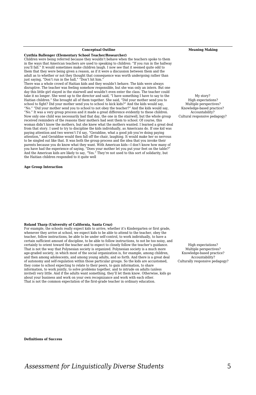### **Cynthia Ballenger (Elementary School Teacher/Researcher)**

Children were being referred because they wouldn't behave when the teachers spoke to them in the ways that American teachers are used to speaking to children: "If you run in the hallway you'll fall." It would sometimes make children laugh. I now see that it seemed quite odd to them that they were being given a reason, as if it were a discussion between them and the adult as to whether or not they thought that consequence was worth undergoing rather than just saying, "Don't run in the hall," "Don't hit him." There was a whole crowd of Haitian kids and they wouldn't behave. The kids were always

disruptive. The teacher was feeling somehow responsible, but she was only an intern. But one day this little girl stayed in the stairwell and wouldn't even enter the class. The teacher could take it no longer. She went up to the director and said, "I have something I have to say to the Haitian children." She brought all of them together. She said, "Did your mother send you to school to fight? Did your mother send you to school to kick kids?" And the kids would say, "No." "Did your mother send you to school to not obey the teacher?" And the kids would say, "No." It was a very group process and it made a great difference evidently to these children. Now only one child was necessarily bad that day, the one in the stairwell, but the whole group received reminders of the reasons their mothers had sent them to school. Of course, this woman didn't know the mothers, but she knew what the mothers wanted. I learned a great deal from that story. I used to try to discipline the kids individually, as Americans do. If one kid was paying attention and two weren't I'd say, "Geraldine, what a good job you're doing paying attention," and Geraldine would then fall off the chair, laughing. It would make her so nervous to be singled out like that. It was both the group process and the idea that you invoke their parents because you do know what they want. With American kids—I don't know how many of you have had the experience of saying, "Does your mother let you put your feet on the table?" And the American kids are likely to say, "Yes." They're not used to this sort of solidarity, but the Haitian children responded to it quite well

**Age Group Interaction** 

#### **Roland Tharp (University of California, Santa Cruz)**

For example, the schools really expect kids to arrive, whether it's Kindergarten or first grade, whenever they arrive at school, we expect kids to be able to attend to the teacher, obey the teacher, follow instructions, be able to be under self-control, to work individually, to have a certain sufficient amount of discipline, to be able to follow instructions, to not be too noisy, and certainly to orient toward the teacher and to expect to closely follow the teacher's guidance. That is not the way that Polynesian society is organized. Polynesian society is a much more age-graded society, in which most of the social organization is, for example, among children, and then among adolescents, and among young adults, and so forth. And there is a great deal of autonomy and self-regulation within those particular groups. So the kids are accustomed, they come to school expecting to relate to their peers, to gain information, to share information, to work jointly, to solve problems together, and to intrude on adults (unless invited) very little. And if the adults want something, they'll let them know. Otherwise, kids go about your business and work on your own recognizance and work with each other. That is not the common expectation of the first-grade teacher in ordinary education.

High expectations? Multiple perspectives? Knowledge-based practice? Accountability? Culturally responsive pedagogy?

**Definitions of Success**

**Conceptual Outline Meaning Making**

My story? High expectations? Multiple perspectives? Knowledge-based practice? Accountability? Cultural responsive pedagogy?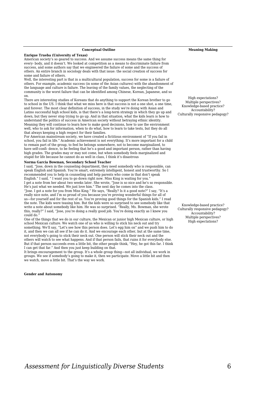#### **Conceptual Outline Meaning Making**

#### **Enrique Trueba (University of Texas)**

American society's so geared to success. And we assume success means the same thing for every- body, and it doesn't. We looked at competition as a means to discriminate failure from success, and some authors say that we engineered the failure of some and the success of others. An entire branch in sociology deals with that issue: the social creation of success for some and failure of others.

Well, the interesting part is that in a multicultural population, success for some is a failure of others. For example, academic success (in some of the Asian cultures) with the abandonment of the language and culture is failure. The leaving of the family values, the neglecting of the community is the worst failure that can be identified among Chinese, Korean, Japanese, and so on.

There are interesting studies of Koreans that do anything to support the Korean brother to go to school in the US. I think that what we miss here is that success is not a one shot, a one time, and forever. The most clear definition of success, in the study we're doing with Asian and Latino successful high school kids, is that there's a long-term strategy in which they go up and down, but they never stop trying to go up. And in that situation, what the kids learn is how to understand the politics of success in American society without betraying ethnic identity. Meaning they will continue to learn how to make good decisions, how to use the environment well, who to ask for information, when to do what, how to learn to take tests, but they do all that always keeping a high respect for their families.

For American mainstream society, we have created a fictitious environment of "If you fail in school, you fail in life." Academic achievement is not everything. It's more important for a child to remain part of the group, to feel he belongs somewhere, not to become marginalized, to have self-confi- dence, to be feeling that he's a good and important person, rather than having high grades. The grades may or may not come, but when somebody feels marginalized and stupid for life because he cannot do as well in class, I think it's disastrous

## **Norma Garcia Bowman, Secondary School Teacher**

I said, "Jose, down in the counseling department, they need somebody who is responsible, can speak English and Spanish. You're smart, extremely intelligent, honest and trustworthy. So I recommended you to help in counseling and help parents who come in that don't speak English." I said, " I want you to go down right now. Miss King is waiting for you." I get a note from her about two weeks later. She wrote, "Jose is so nice and he's so responsible. He's just what we needed. We just love him." The next day he comes into the class.

"Jose. I got a note for you from Miss King." He says, "Really? Is it a good note?" I say, "It's a really nice note, and I'm so proud of you because you're proving wonderful things for all of us—for yourself and for the rest of us. You're proving good things for the Spanish kids." I read the note. The kids were teasing him. But the kids were so surprised to see somebody like that write a note about somebody like him. He was so surprised. "Really, Ms. Bowman, she wrote this, really?" I said, "Jose, you're doing a really good job. You're doing exactly as I knew you could do."

One of the things that we do in our culture, the Mexican or junior high Mexican culture, or high school Mexican culture. We watch one of us who is willing to stick his neck out and try something. We'll say, "Let's see how this person does. Let's egg him on" and we push him to do it, and then we can all see if he can do it. And we encourage each other, but at the same time, not everybody's going to stick their neck out. One person will stick their neck out and the others will watch to see what happens. And if that person fails, that ruins it for everybody else. But if that person succeeds even a little bit, the other people think, "Hey, he got this far. I think I can get that far." And then you just keep building on that.

It brings encouragement to the group. It's a whole group thing—not all individual, we work in groups. We see if somebody's going to make it, then we participate. Move a little bit and then we watch, move a little bit. That's the way we work.

#### **Gender and Autonomy**

High expectations? Multiple perspectives? Knowledge-based practice? Accountability? Culturally responsive pedagogy?

Knowledge-based practice? Culturally responsive pedagogy? Accountability? Multiple perspectives? High expectations?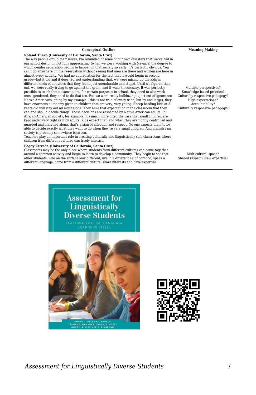#### **Roland Tharp (University of California, Santa Cruz)**

The way people group themselves, I'm reminded of some of our own disasters that we've had in our school design in not fully appreciating (when we were working with Navajos) the degree to which gender separation begins to happen in that society so early. It's perfectly obvious. You can't go anywhere on the reservation without seeing that men are there and women are here in almost every activity. We had no appreciation for the fact that it would begin in second grade—but it did and it does. So, not understanding that, we were mixing up the kids in different kinds of activities that they found just unendurable and stupid. Until we figured that out, we were really trying to go against the grain, and it wasn't necessary. It was perfectly possible to teach that at some point, for certain purposes in school, they need to also work cross-gendered, they need to do that too. But we were really bulldozing it just out of ignorance. Native Americans, going by my example, (this is not true of every tribe, but by and large), they have enormous autonomy given to children that are very, very young. Sheep herding kids at 5 years-old will stay out all night alone. They have that expectation in the classroom that they can and should decide things. Those decisions are respected by Native American adults. In African-American society, for example, it's much more often the case that small children are kept under very tight rein by adults. Kids expect that, and when they are tightly controlled and guarded and marched along, that's a sign of affection and respect. No one expects them to be able to decide exactly what they want to do when they're very small children. And mainstream society is probably somewhere between.

Teachers play an important role in creating culturally and linguistically safe classrooms where children from different cultures can freely interact.

#### **Peggy Estrada (University of California, Santa Cruz)**

Classrooms may be the only place where students from different cultures can come together around a common activity and begin to learn to develop a community. They begin to see that other students, who on the surface look different, live in a different neighborhood, speak a different language, come from a different culture, share interests and have expertise.

**Conceptual Outline Meaning Making**

Multiple perspectives? Knowledge-based practice? Culturally responsive pedagogy? High expectations? Accountability? Culturally responsive pedagogy?

Multicultural space? Shared respect? New expertise?